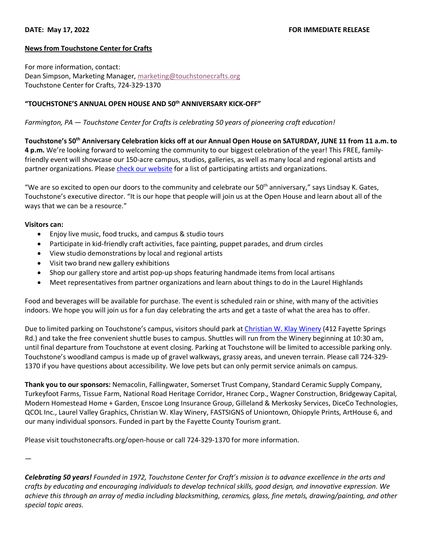## **News from Touchstone Center for Crafts**

For more information, contact: Dean Simpson, Marketing Manager, marketing@touchstonecrafts.org Touchstone Center for Crafts, 724-329-1370

## **"TOUCHSTONE'S ANNUAL OPEN HOUSE AND 50th ANNIVERSARY KICK-OFF"**

*Farmington, PA — Touchstone Center for Crafts is celebrating 50 years of pioneering craft education!*

**Touchstone's 50th Anniversary Celebration kicks off at our Annual Open House on SATURDAY, JUNE 11 from 11 a.m. to 4 p.m.** We're looking forward to welcoming the community to our biggest celebration of the year! This FREE, familyfriendly event will showcase our 150-acre campus, studios, galleries, as well as many local and regional artists and partner organizations. Please check our website for a list of participating artists and organizations.

"We are so excited to open our doors to the community and celebrate our  $50<sup>th</sup>$  anniversary," says Lindsay K. Gates, Touchstone's executive director. "It is our hope that people will join us at the Open House and learn about all of the ways that we can be a resource."

## **Visitors can:**

- Enjoy live music, food trucks, and campus & studio tours
- Participate in kid-friendly craft activities, face painting, puppet parades, and drum circles
- View studio demonstrations by local and regional artists
- Visit two brand new gallery exhibitions
- Shop our gallery store and artist pop-up shops featuring handmade items from local artisans
- Meet representatives from partner organizations and learn about things to do in the Laurel Highlands

Food and beverages will be available for purchase. The event is scheduled rain or shine, with many of the activities indoors. We hope you will join us for a fun day celebrating the arts and get a taste of what the area has to offer.

Due to limited parking on Touchstone's campus, visitors should park at Christian W. Klay Winery (412 Fayette Springs Rd.) and take the free convenient shuttle buses to campus. Shuttles will run from the Winery beginning at 10:30 am, until final departure from Touchstone at event closing. Parking at Touchstone will be limited to accessible parking only. Touchstone's woodland campus is made up of gravel walkways, grassy areas, and uneven terrain. Please call 724-329- 1370 if you have questions about accessibility. We love pets but can only permit service animals on campus.

**Thank you to our sponsors:** Nemacolin, Fallingwater, Somerset Trust Company, Standard Ceramic Supply Company, Turkeyfoot Farms, Tissue Farm, National Road Heritage Corridor, Hranec Corp., Wagner Construction, Bridgeway Capital, Modern Homestead Home + Garden, Enscoe Long Insurance Group, Gilleland & Merkosky Services, DiceCo Technologies, QCOL Inc., Laurel Valley Graphics, Christian W. Klay Winery, FASTSIGNS of Uniontown, Ohiopyle Prints, ArtHouse 6, and our many individual sponsors. Funded in part by the Fayette County Tourism grant.

Please visit touchstonecrafts.org/open-house or call 724-329-1370 for more information.

—

*Celebrating 50 years! Founded in 1972, Touchstone Center for Craft's mission is to advance excellence in the arts and crafts by educating and encouraging individuals to develop technical skills, good design, and innovative expression. We achieve this through an array of media including blacksmithing, ceramics, glass, fine metals, drawing/painting, and other special topic areas.*